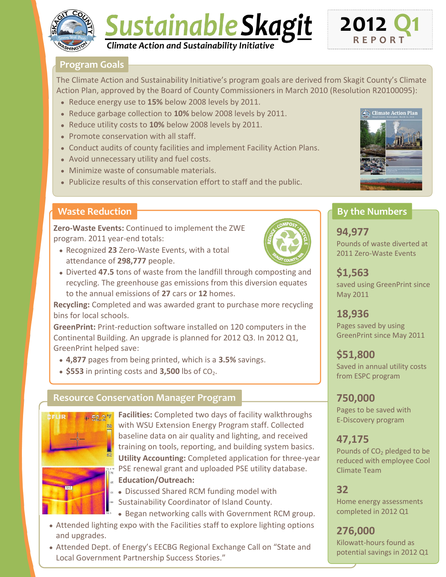

# Sustainable Skagit *Climate Action and Sustainability Initiative*

## **Program Goals**

The Climate Action and Sustainability Initiative's program goals are derived from Skagit County's Climate Action Plan, approved by the Board of County Commissioners in March 2010 (Resolution R20100095):

- Reduce energy use to **15%** below 2008 levels by 2011.
- Reduce garbage collection to **10%** below 2008 levels by 2011.
- Reduce utility costs to **10%** below 2008 levels by 2011.
- Promote conservation with all staff.
- Conduct audits of county facilities and implement Facility Action Plans.
- Avoid unnecessary utility and fuel costs.
- Minimize waste of consumable materials.
- Publicize results of this conservation effort to staff and the public.

## **Waste Reduction**

**Zero-Waste Events:** Continued to implement the ZWE program. 2011 year-end totals:

Recognized **23** Zero-Waste Events, with a total attendance of **298,777** people.



Diverted **47.5** tons of waste from the landfill through composting and recycling. The greenhouse gas emissions from this diversion equates to the annual emissions of **27** cars or **12** homes.

**Recycling:** Completed and was awarded grant to purchase more recycling bins for local schools.

**GreenPrint:** Print-reduction software installed on 120 computers in the Continental Building. An upgrade is planned for 2012 Q3. In 2012 Q1, GreenPrint helped save:

- **4,877** pages from being printed, which is a **3.5%** savings.
- $\bullet$  \$553 in printing costs and  $3,500$  lbs of  $CO<sub>2</sub>$ .

## **Resource Conservation Manager Program**



**Facilities:** Completed two days of facility walkthroughs with WSU Extension Energy Program staff. Collected baseline data on air quality and lighting, and received training on tools, reporting, and building system basics. **Utility Accounting:** Completed application for three-year **PSE renewal grant and uploaded PSE utility database.** 

- **Education/Outreach:**
- $\frac{1}{20}$  Discussed Shared RCM funding model with Sustainability Coordinator of Island County.
	- Began networking calls with Government RCM group.
- Attended lighting expo with the Facilities staff to explore lighting options and upgrades.
- Attended Dept. of Energy's EECBG Regional Exchange Call on "State and Local Government Partnership Success Stories."



# **By the Numbers**

**2012 Q1**

**R E P O R T**

**94,977** Pounds of waste diverted at 2011 Zero-Waste Events

**\$1,563** saved using GreenPrint since May 2011

**18,936**  Pages saved by using GreenPrint since May 2011

**\$51,800** Saved in annual utility costs from ESPC program

**750,000**

Pages to be saved with E-Discovery program

# **47,175**

Pounds of CO<sub>2</sub> pledged to be reduced with employee Cool Climate Team

## **32**

Home energy assessments completed in 2012 Q1

**276,000** Kilowatt-hours found as potential savings in 2012 Q1